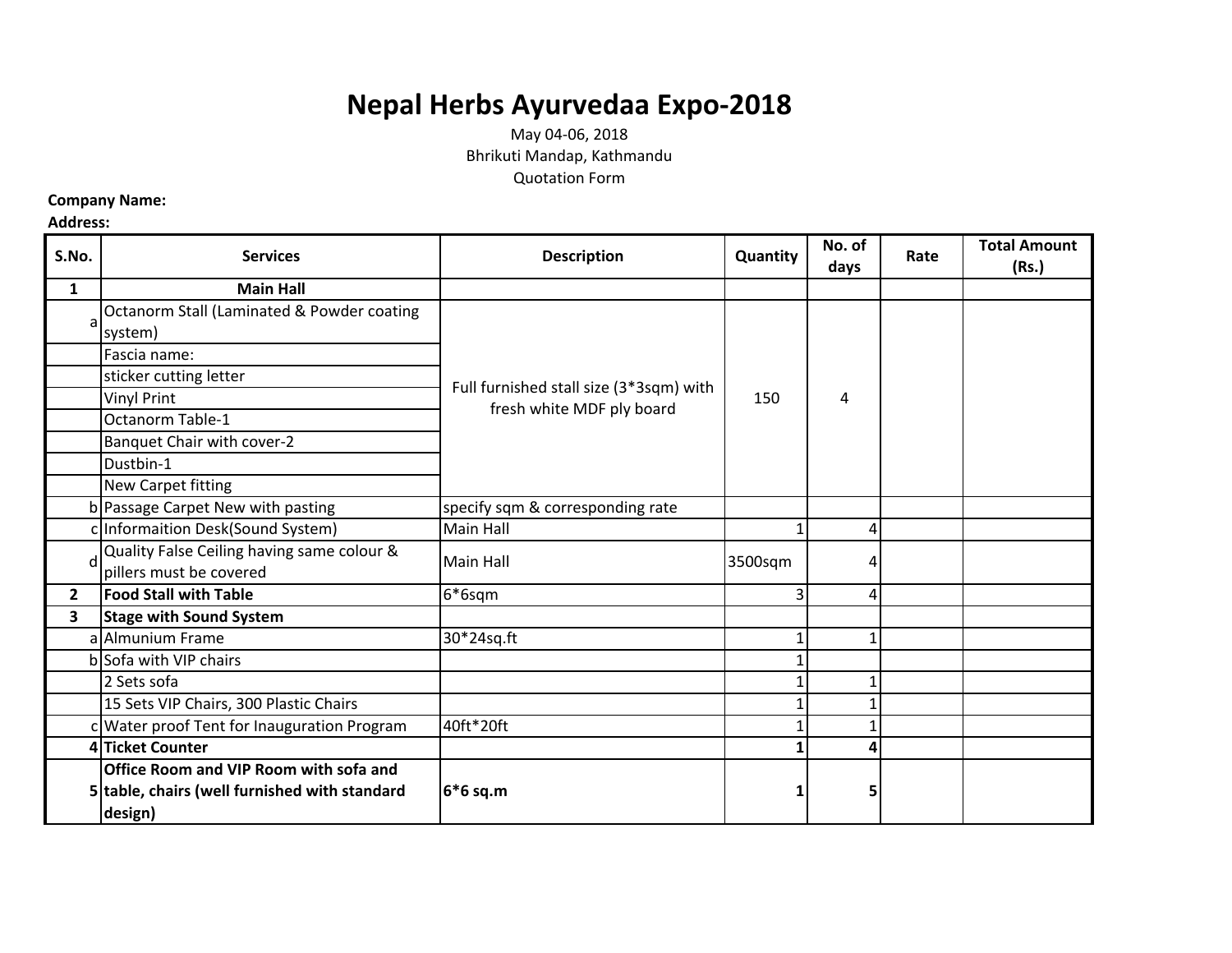## **Nepal Herbs Ayurvedaa Expo-2018**

May 04-06, 2018 Bhrikuti Mandap, Kathmandu Quotation Form

## **Company Name:**

## **Address:**

| S.No.          | <b>Services</b>                               | <b>Description</b>                                                   | Quantity | No. of<br>days | Rate | <b>Total Amount</b><br>(Rs.) |
|----------------|-----------------------------------------------|----------------------------------------------------------------------|----------|----------------|------|------------------------------|
| $\mathbf{1}$   | <b>Main Hall</b>                              |                                                                      |          |                |      |                              |
| a              | Octanorm Stall (Laminated & Powder coating    | Full furnished stall size (3*3sqm) with<br>fresh white MDF ply board | 150      | 4              |      |                              |
|                | system)                                       |                                                                      |          |                |      |                              |
|                | Fascia name:                                  |                                                                      |          |                |      |                              |
|                | sticker cutting letter                        |                                                                      |          |                |      |                              |
|                | <b>Vinyl Print</b>                            |                                                                      |          |                |      |                              |
|                | Octanorm Table-1                              |                                                                      |          |                |      |                              |
|                | Banquet Chair with cover-2                    |                                                                      |          |                |      |                              |
|                | Dustbin-1                                     |                                                                      |          |                |      |                              |
|                | New Carpet fitting                            |                                                                      |          |                |      |                              |
|                | b Passage Carpet New with pasting             | specify sqm & corresponding rate                                     |          |                |      |                              |
|                | c Informaition Desk(Sound System)             | <b>Main Hall</b>                                                     |          | 4              |      |                              |
| d              | Quality False Ceiling having same colour &    | Main Hall                                                            | 3500sqm  | 4              |      |                              |
|                | pillers must be covered                       |                                                                      |          |                |      |                              |
| $\overline{2}$ | <b>Food Stall with Table</b>                  | 6*6sqm                                                               |          | 4              |      |                              |
| 3              | <b>Stage with Sound System</b>                |                                                                      |          |                |      |                              |
|                | al Almunium Frame                             | 30*24sq.ft                                                           |          |                |      |                              |
|                | b Sofa with VIP chairs                        |                                                                      |          |                |      |                              |
|                | 2 Sets sofa                                   |                                                                      |          |                |      |                              |
|                | 15 Sets VIP Chairs, 300 Plastic Chairs        |                                                                      |          |                |      |                              |
|                | c Water proof Tent for Inauguration Program   | 40ft*20ft                                                            |          |                |      |                              |
|                | 4 Ticket Counter                              |                                                                      |          | Δ              |      |                              |
|                | Office Room and VIP Room with sofa and        |                                                                      |          |                |      |                              |
|                | 5 table, chairs (well furnished with standard | 6*6 sq.m                                                             |          | 5              |      |                              |
|                | design)                                       |                                                                      |          |                |      |                              |